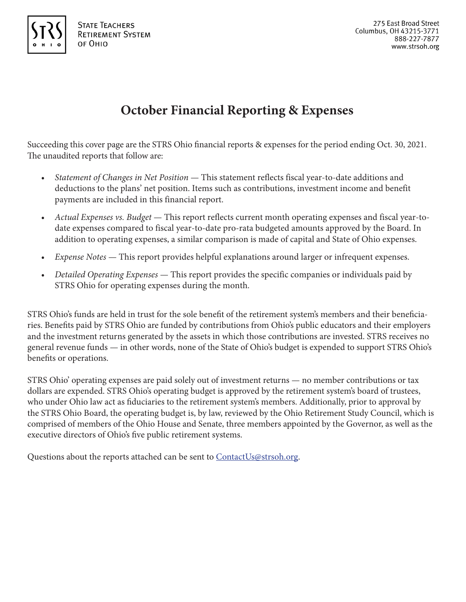

# **October Financial Reporting & Expenses**

Succeeding this cover page are the STRS Ohio financial reports & expenses for the period ending Oct. 30, 2021. The unaudited reports that follow are:

- *Statement of Changes in Net Position* This statement reflects fiscal year-to-date additions and deductions to the plans' net position. Items such as contributions, investment income and benefit payments are included in this financial report.
- *Actual Expenses vs. Budget* This report reflects current month operating expenses and fiscal year-todate expenses compared to fiscal year-to-date pro-rata budgeted amounts approved by the Board. In addition to operating expenses, a similar comparison is made of capital and State of Ohio expenses.
- *Expense Notes* This report provides helpful explanations around larger or infrequent expenses.
- *Detailed Operating Expenses* This report provides the specific companies or individuals paid by STRS Ohio for operating expenses during the month.

STRS Ohio's funds are held in trust for the sole benefit of the retirement system's members and their beneficiaries. Benefits paid by STRS Ohio are funded by contributions from Ohio's public educators and their employers and the investment returns generated by the assets in which those contributions are invested. STRS receives no general revenue funds — in other words, none of the State of Ohio's budget is expended to support STRS Ohio's benefits or operations.

STRS Ohio' operating expenses are paid solely out of investment returns — no member contributions or tax dollars are expended. STRS Ohio's operating budget is approved by the retirement system's board of trustees, who under Ohio law act as fiduciaries to the retirement system's members. Additionally, prior to approval by the STRS Ohio Board, the operating budget is, by law, reviewed by the Ohio Retirement Study Council, which is comprised of members of the Ohio House and Senate, three members appointed by the Governor, as well as the executive directors of Ohio's five public retirement systems.

Questions about the reports attached can be sent to ContactUs@strsoh.org.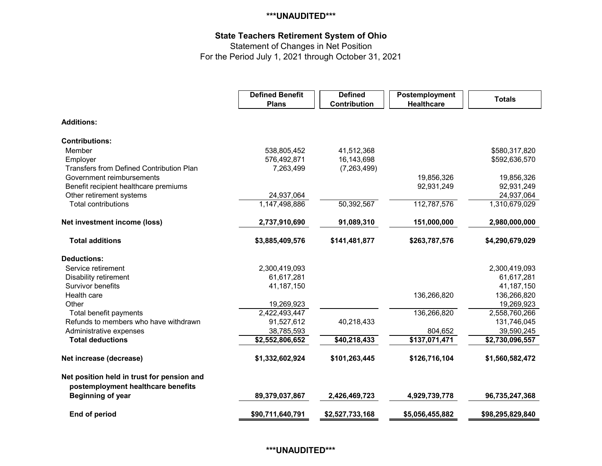## **\*\*\*UNAUDITED\*\*\***

# **State Teachers Retirement System of Ohio**

Statement of Changes in Net Position

For the Period July 1, 2021 through October 31, 2021

|                                                                                  | <b>Defined Benefit</b><br><b>Plans</b> | <b>Defined</b><br>Contribution | Postemployment<br><b>Healthcare</b> | <b>Totals</b>    |
|----------------------------------------------------------------------------------|----------------------------------------|--------------------------------|-------------------------------------|------------------|
| <b>Additions:</b>                                                                |                                        |                                |                                     |                  |
| <b>Contributions:</b>                                                            |                                        |                                |                                     |                  |
| Member                                                                           | 538,805,452                            | 41,512,368                     |                                     | \$580,317,820    |
| Employer                                                                         | 576,492,871                            | 16,143,698                     |                                     | \$592,636,570    |
| <b>Transfers from Defined Contribution Plan</b>                                  | 7,263,499                              | (7,263,499)                    |                                     |                  |
| Government reimbursements                                                        |                                        |                                | 19,856,326                          | 19,856,326       |
| Benefit recipient healthcare premiums                                            |                                        |                                | 92,931,249                          | 92,931,249       |
| Other retirement systems                                                         | 24,937,064                             |                                |                                     | 24,937,064       |
| <b>Total contributions</b>                                                       | 1,147,498,886                          | 50,392,567                     | 112,787,576                         | 1,310,679,029    |
| Net investment income (loss)                                                     | 2,737,910,690                          | 91,089,310                     | 151,000,000                         | 2,980,000,000    |
| <b>Total additions</b>                                                           | \$3,885,409,576                        | \$141,481,877                  | \$263,787,576                       | \$4,290,679,029  |
| <b>Deductions:</b>                                                               |                                        |                                |                                     |                  |
| Service retirement                                                               | 2,300,419,093                          |                                |                                     | 2,300,419,093    |
| <b>Disability retirement</b>                                                     | 61,617,281                             |                                |                                     | 61,617,281       |
| Survivor benefits                                                                | 41,187,150                             |                                |                                     | 41,187,150       |
| Health care                                                                      |                                        |                                | 136,266,820                         | 136,266,820      |
| Other                                                                            | 19,269,923                             |                                |                                     | 19,269,923       |
| Total benefit payments                                                           | 2,422,493,447                          |                                | 136,266,820                         | 2,558,760,266    |
| Refunds to members who have withdrawn                                            | 91,527,612                             | 40,218,433                     |                                     | 131,746,045      |
| Administrative expenses                                                          | 38,785,593                             |                                | 804,652                             | 39,590,245       |
| <b>Total deductions</b>                                                          | \$2,552,806,652                        | \$40,218,433                   | \$137,071,471                       | \$2,730,096,557  |
| Net increase (decrease)                                                          | \$1,332,602,924                        | \$101,263,445                  | \$126,716,104                       | \$1,560,582,472  |
| Net position held in trust for pension and<br>postemployment healthcare benefits |                                        |                                |                                     |                  |
| <b>Beginning of year</b>                                                         | 89,379,037,867                         | 2,426,469,723                  | 4,929,739,778                       | 96,735,247,368   |
| End of period                                                                    | \$90,711,640,791                       | \$2,527,733,168                | \$5,056,455,882                     | \$98,295,829,840 |

#### **\*\*\*UNAUDITED\*\*\***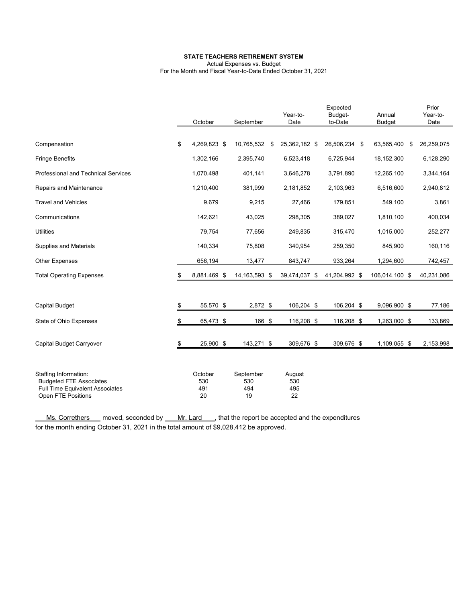#### **STATE TEACHERS RETIREMENT SYSTEM**

Actual Expenses vs. Budget

For the Month and Fiscal Year-to-Date Ended October 31, 2021

|                                                                                                                  | October                     | September                     | Year-to-<br>Date           |     | Expected<br>Budget-<br>to-Date | Annual<br><b>Budget</b> | Prior<br>Year-to-<br>Date |
|------------------------------------------------------------------------------------------------------------------|-----------------------------|-------------------------------|----------------------------|-----|--------------------------------|-------------------------|---------------------------|
| Compensation                                                                                                     | \$<br>4,269,823 \$          | 10,765,532 \$                 | 25,362,182 \$              |     | 26,506,234 \$                  | 63,565,400<br>-\$       | 26,259,075                |
| <b>Fringe Benefits</b>                                                                                           | 1,302,166                   | 2,395,740                     | 6,523,418                  |     | 6,725,944                      | 18,152,300              | 6,128,290                 |
| <b>Professional and Technical Services</b>                                                                       | 1,070,498                   | 401,141                       | 3,646,278                  |     | 3,791,890                      | 12,265,100              | 3,344,164                 |
| Repairs and Maintenance                                                                                          | 1,210,400                   | 381,999                       | 2,181,852                  |     | 2,103,963                      | 6,516,600               | 2,940,812                 |
| <b>Travel and Vehicles</b>                                                                                       | 9,679                       | 9,215                         | 27,466                     |     | 179,851                        | 549,100                 | 3,861                     |
| Communications                                                                                                   | 142,621                     | 43,025                        | 298,305                    |     | 389,027                        | 1,810,100               | 400,034                   |
| <b>Utilities</b>                                                                                                 | 79,754                      | 77,656                        | 249,835                    |     | 315,470                        | 1,015,000               | 252,277                   |
| <b>Supplies and Materials</b>                                                                                    | 140,334                     | 75,808                        | 340,954                    |     | 259,350                        | 845,900                 | 160,116                   |
| Other Expenses                                                                                                   | 656,194                     | 13,477                        | 843,747                    |     | 933,264                        | 1,294,600               | 742,457                   |
| <b>Total Operating Expenses</b>                                                                                  | \$<br>8,881,469 \$          | 14, 163, 593 \$               | 39,474,037                 | -\$ | 41,204,992 \$                  | 106,014,100 \$          | 40,231,086                |
|                                                                                                                  |                             |                               |                            |     |                                |                         |                           |
| <b>Capital Budget</b>                                                                                            | \$<br>55,570 \$             | 2,872 \$                      | 106,204 \$                 |     | 106,204 \$                     | 9,096,900 \$            | 77,186                    |
| State of Ohio Expenses                                                                                           | \$<br>65,473 \$             | 166 \$                        | 116,208 \$                 |     | 116,208 \$                     | 1,263,000 \$            | 133,869                   |
| Capital Budget Carryover                                                                                         | \$<br>25,900 \$             | 143,271 \$                    | 309,676 \$                 |     | 309,676 \$                     | 1,109,055 \$            | 2,153,998                 |
|                                                                                                                  |                             |                               |                            |     |                                |                         |                           |
| Staffing Information:<br><b>Budgeted FTE Associates</b><br>Full Time Equivalent Associates<br>Open FTE Positions | October<br>530<br>491<br>20 | September<br>530<br>494<br>19 | August<br>530<br>495<br>22 |     |                                |                         |                           |

Ms. Correthers moved, seconded by Mr. Lard , that the report be accepted and the expenditures for the month ending October 31, 2021 in the total amount of \$9,028,412 be approved.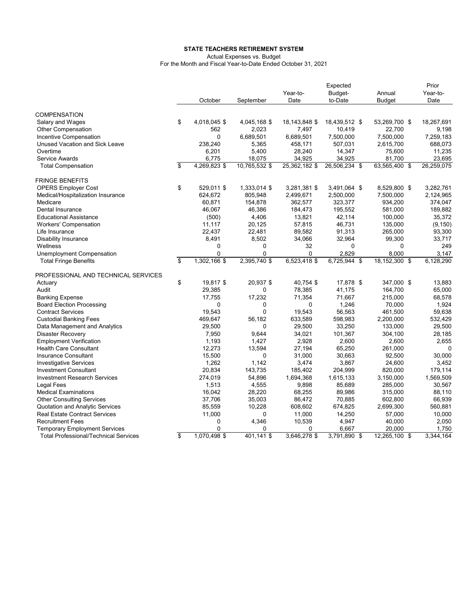#### **STATE TEACHERS RETIREMENT SYSTEM**

Actual Expenses vs. Budget

For the Month and Fiscal Year-to-Date Ended October 31, 2021

|                                              |                         |              |               |               | Expected      |               | Prior      |
|----------------------------------------------|-------------------------|--------------|---------------|---------------|---------------|---------------|------------|
|                                              |                         |              |               | Year-to-      | Budget-       | Annual        | Year-to-   |
|                                              |                         | October      | September     | Date          | to-Date       | <b>Budget</b> | Date       |
| <b>COMPENSATION</b>                          |                         |              |               |               |               |               |            |
| Salary and Wages                             | \$                      | 4,018,045 \$ | 4,045,168 \$  | 18,143,848 \$ | 18,439,512 \$ | 53,269,700 \$ | 18,267,691 |
| <b>Other Compensation</b>                    |                         | 562          | 2,023         | 7,497         | 10,419        | 22,700        | 9,198      |
| Incentive Compensation                       |                         | $\Omega$     | 6,689,501     | 6,689,501     | 7,500,000     | 7,500,000     | 7,259,183  |
| Unused Vacation and Sick Leave               |                         | 238,240      | 5,365         | 458,171       | 507,031       | 2,615,700     | 688,073    |
| Overtime                                     |                         | 6,201        | 5,400         | 28,240        | 14,347        | 75,600        | 11,235     |
| Service Awards                               |                         | 6,775        | 18,075        | 34,925        | 34,925        | 81,700        | 23,695     |
| <b>Total Compensation</b>                    | \$                      | 4,269,823 \$ | 10,765,532 \$ | 25,362,182 \$ | 26,506,234 \$ | 63,565,400 \$ | 26,259,075 |
|                                              |                         |              |               |               |               |               |            |
| <b>FRINGE BENEFITS</b>                       |                         |              |               |               |               |               |            |
| <b>OPERS Employer Cost</b>                   | \$                      | 529,011 \$   | 1,333,014 \$  | 3,281,381 \$  | 3,491,064 \$  | 8,529,800 \$  | 3,282,761  |
| Medical/Hospitalization Insurance            |                         | 624,672      | 805,948       | 2,499,671     | 2,500,000     | 7,500,000     | 2,124,965  |
| Medicare                                     |                         | 60,871       | 154,878       | 362,577       | 323,377       | 934,200       | 374,047    |
| Dental Insurance                             |                         | 46,067       | 46,386        | 184,473       | 195,552       | 581,000       | 189,882    |
| <b>Educational Assistance</b>                |                         | (500)        | 4,406         | 13,821        | 42,114        | 100,000       | 35,372     |
| <b>Workers' Compensation</b>                 |                         | 11,117       | 20,125        | 57,815        | 46,731        | 135,000       | (9, 150)   |
| Life Insurance                               |                         | 22,437       | 22,481        | 89,582        | 91,313        | 265,000       | 93,300     |
| <b>Disability Insurance</b>                  |                         | 8,491        | 8,502         | 34,066        | 32,964        | 99,300        | 33,717     |
| Wellness                                     |                         | 0            | 0             | 32            | 0             | 0             | 249        |
| Unemployment Compensation                    |                         | 0            | 0             | 0             | 2,829         | 8,000         | 3,147      |
| <b>Total Fringe Benefits</b>                 | \$                      | 1,302,166 \$ | 2,395,740 \$  | 6,523,418 \$  | 6,725,944 \$  | 18,152,300 \$ | 6,128,290  |
| PROFESSIONAL AND TECHNICAL SERVICES          |                         |              |               |               |               |               |            |
| Actuary                                      | \$                      | 19,817 \$    | 20,937 \$     | 40,754 \$     | 17,878 \$     | 347,000 \$    | 13,883     |
| Audit                                        |                         | 29,385       | 0             | 78,385        | 41,175        | 164,700       | 65,000     |
| <b>Banking Expense</b>                       |                         | 17,755       | 17,232        | 71,354        | 71,667        | 215,000       | 68,578     |
| <b>Board Election Processing</b>             |                         | 0            | 0             | $\Omega$      | 1,246         | 70.000        | 1,924      |
| <b>Contract Services</b>                     |                         | 19,543       | 0             | 19,543        | 56,563        | 461,500       | 59,638     |
| <b>Custodial Banking Fees</b>                |                         | 469,647      | 56,182        | 633,589       | 598,983       | 2,200,000     | 532,429    |
| Data Management and Analytics                |                         | 29,500       | $\mathbf 0$   | 29,500        | 33,250        | 133,000       | 29,500     |
| <b>Disaster Recovery</b>                     |                         | 7,950        | 9,644         | 34,021        | 101,367       | 304,100       | 28,185     |
| <b>Employment Verification</b>               |                         | 1,193        | 1,427         | 2,928         | 2,600         | 2,600         | 2,655      |
| <b>Health Care Consultant</b>                |                         | 12,273       | 13,594        | 27,194        | 65,250        | 261,000       | 0          |
|                                              |                         |              |               |               |               |               |            |
| <b>Insurance Consultant</b>                  |                         | 15,500       | 0             | 31,000        | 30,663        | 92,500        | 30,000     |
| <b>Investigative Services</b>                |                         | 1,262        | 1,142         | 3,474         | 3,867         | 24,600        | 3,452      |
| <b>Investment Consultant</b>                 |                         | 20,834       | 143,735       | 185,402       | 204,999       | 820,000       | 179,114    |
| <b>Investment Research Services</b>          |                         | 274,019      | 54,896        | 1,694,368     | 1,615,133     | 3,150,000     | 1,569,509  |
| Legal Fees                                   |                         | 1,513        | 4,555         | 9,898         | 85,689        | 285,000       | 30,567     |
| <b>Medical Examinations</b>                  |                         | 16,042       | 28,220        | 68,255        | 89,986        | 315,000       | 88,110     |
| <b>Other Consulting Services</b>             |                         | 37,706       | 35,003        | 86,472        | 70,885        | 602,800       | 66,939     |
| Quotation and Analytic Services              |                         | 85,559       | 10,228        | 608,602       | 674,825       | 2,699,300     | 560,881    |
| <b>Real Estate Contract Services</b>         |                         | 11,000       | 0             | 11,000        | 14,250        | 57,000        | 10,000     |
| <b>Recruitment Fees</b>                      |                         | 0            | 4,346         | 10,539        | 4,947         | 40,000        | 2,050      |
| <b>Temporary Employment Services</b>         |                         | $\Omega$     | 0             | 0             | 6,667         | 20,000        | 1,750      |
| <b>Total Professional/Technical Services</b> | $\overline{\mathbb{S}}$ | 1,070,498 \$ | 401,141 \$    | 3,646,278 \$  | 3,791,890 \$  | 12,265,100 \$ | 3,344,164  |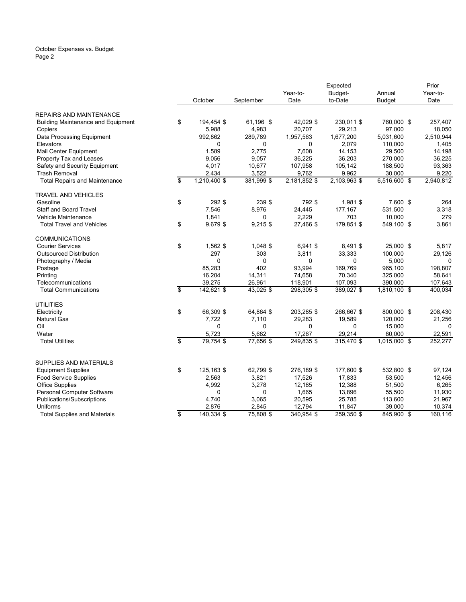#### October Expenses vs. Budget Page 2

|                                           |                         |                |            |                      | Expected     |                   | Prior             |
|-------------------------------------------|-------------------------|----------------|------------|----------------------|--------------|-------------------|-------------------|
|                                           |                         |                |            |                      | Budget-      | Annual            | Year-to-          |
|                                           |                         | October        | September  | Date                 | to-Date      | <b>Budget</b>     | Date              |
| <b>REPAIRS AND MAINTENANCE</b>            |                         |                |            |                      |              |                   |                   |
| <b>Building Maintenance and Equipment</b> | \$                      | 194,454 \$     | 61,196 \$  | 42,029 \$            | 230,011 \$   | 760,000 \$        | 257,407           |
| Copiers                                   |                         | 5,988          | 4,983      | 20,707               | 29,213       | 97,000            | 18,050            |
| Data Processing Equipment                 |                         | 992,862        | 289,789    | 1,957,563            | 1,677,200    | 5,031,600         | 2,510,944         |
| Elevators                                 |                         | $\Omega$       | $\Omega$   | $\Omega$             | 2,079        | 110,000           | 1,405             |
| Mail Center Equipment                     |                         | 1,589          | 2,775      | 7,608                | 14,153       | 29,500            | 14,198            |
| Property Tax and Leases                   |                         | 9,056          | 9,057      | 36,225               | 36,203       | 270,000           | 36,225            |
| Safety and Security Equipment             |                         | 4,017          | 10,677     | 107,958              | 105,142      | 188,500           | 93,363            |
| <b>Trash Removal</b>                      |                         | 2,434          | 3,522      | 9,762                | 9,962        | 30,000            | 9,220             |
| <b>Total Repairs and Maintenance</b>      | \$                      | 1,210,400 \$   | 381,999 \$ | 2,181,852 \$         | 2,103,963 \$ | 6,516,600 \$      | 2,940,812         |
| <b>TRAVEL AND VEHICLES</b>                |                         |                |            |                      |              |                   |                   |
| Gasoline                                  | \$                      | 292 \$         | 239 \$     | 792\$                | 1,981 \$     | 7,600 \$          | 264               |
| <b>Staff and Board Travel</b>             |                         | 7,546          | 8,976      | 24,445               | 177,167      | 531,500           | 3,318             |
| Vehicle Maintenance                       |                         | 1,841          | 0          | 2,229                | 703          | 10,000            | 279               |
| <b>Total Travel and Vehicles</b>          | \$                      | 9,679\$        | $9,215$ \$ | 27,466 \$            | 179,851 \$   | 549,100 \$        | 3,861             |
| <b>COMMUNICATIONS</b>                     |                         |                |            |                      |              |                   |                   |
| <b>Courier Services</b>                   | \$                      | 1,562 \$       | 1,048 \$   | 6,941 \$             | 8,491 \$     | 25,000 \$         | 5,817             |
| <b>Outsourced Distribution</b>            |                         | 297            | 303        | 3,811                | 33,333       | 100,000           | 29,126            |
| Photography / Media                       |                         | $\Omega$       | $\Omega$   | $\Omega$             | $\Omega$     | 5,000             | $\mathbf 0$       |
| Postage                                   |                         | 85,283         | 402        | 93,994               | 169,769      | 965,100           | 198,807           |
| Printing                                  |                         | 16,204         | 14,311     | 74,658               | 70,340       | 325,000           | 58,641            |
| Telecommunications                        |                         | 39,275         | 26,961     | 118,901              | 107,093      | 390,000           | 107,643           |
| <b>Total Communications</b>               | \$                      | 142,621 \$     | 43,025 \$  | 298,305\$            | 389,027 \$   | 1,810,100 \$      | 400,034           |
| <b>UTILITIES</b>                          |                         |                |            |                      |              |                   |                   |
| Electricity                               | \$                      | 66,309 \$      | 64,864 \$  | 203,285 \$           | 266,667 \$   | 800,000 \$        | 208,430           |
| <b>Natural Gas</b>                        |                         | 7,722          | 7,110      | 29,283               | 19,589       | 120,000           | 21,256            |
| Oil                                       |                         | 0              | 0          | 0                    | 0            | 15,000            | $\mathbf 0$       |
| Water                                     |                         | 5,723          | 5,682      | 17,267               | 29,214       | 80,000            | 22,591            |
| <b>Total Utilities</b>                    | $\overline{\mathbf{S}}$ | 79,754 \$      | 77,656 \$  | 249,835 \$           | $315,470$ \$ | 1,015,000 \$      | 252,277           |
|                                           |                         |                |            |                      |              |                   |                   |
| SUPPLIES AND MATERIALS                    |                         |                |            |                      |              |                   |                   |
| <b>Equipment Supplies</b>                 | \$                      | 125,163 \$     | 62,799 \$  | 276,189 \$           | 177,600 \$   | 532,800 \$        | 97,124            |
| Food Service Supplies                     |                         | 2,563          | 3,821      | 17,526               | 17,833       | 53,500            | 12,456            |
| <b>Office Supplies</b>                    |                         | 4,992          | 3,278      | 12,185               | 12,388       | 51,500            | 6,265             |
| Personal Computer Software                |                         | 0              | 0          | 1,665                | 13,896       | 55,500            | 11,930            |
| Publications/Subscriptions<br>Uniforms    |                         | 4,740<br>2,876 | 3,065      | 20,595               | 25,785       | 113,600<br>39,000 | 21,967            |
|                                           | \$                      | 140,334 \$     | 2,845      | 12,794<br>340,954 \$ | 11,847       |                   | 10,374<br>160,116 |
| <b>Total Supplies and Materials</b>       |                         |                | 75,808 \$  |                      | 259,350 \$   | 845,900 \$        |                   |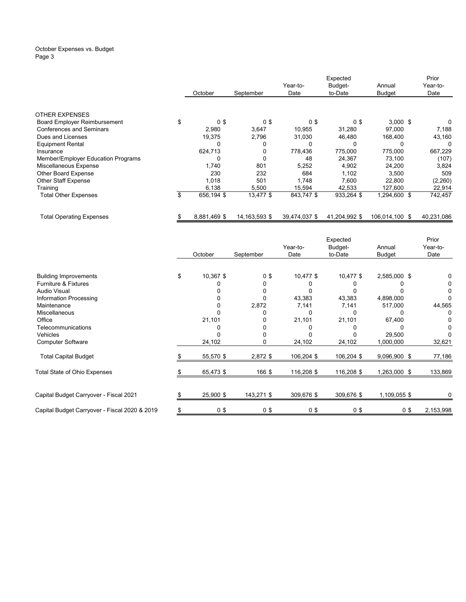#### October Expenses vs. Budget Page 3

|                                     |                      |                 |               | Prior         |                |            |
|-------------------------------------|----------------------|-----------------|---------------|---------------|----------------|------------|
|                                     |                      |                 | Year-to-      | Budget-       | Annual         | Year-to-   |
|                                     | October              | September       | Date          | to-Date       | <b>Budget</b>  | Date       |
|                                     |                      |                 |               |               |                |            |
| <b>OTHER EXPENSES</b>               |                      |                 |               |               |                |            |
| <b>Board Employer Reimbursement</b> | \$<br>0 <sup>3</sup> | 0 <sup>3</sup>  | 0\$           | 0\$           | $3,000$ \$     | 0          |
| <b>Conferences and Seminars</b>     | 2,980                | 3,647           | 10,955        | 31,280        | 97.000         | 7,188      |
| Dues and Licenses                   | 19,375               | 2,796           | 31,030        | 46,480        | 168,400        | 43,160     |
| <b>Equipment Rental</b>             | 0                    | 0               | 0             | 0             |                | 0          |
| Insurance                           | 624,713              | 0               | 778,436       | 775,000       | 775,000        | 667,229    |
| Member/Employer Education Programs  | $\Omega$             | 0               | 48            | 24.367        | 73,100         | (107)      |
| Miscellaneous Expense               | 1,740                | 801             | 5,252         | 4,902         | 24,200         | 3,824      |
| Other Board Expense                 | 230                  | 232             | 684           | 1.102         | 3.500          | 509        |
| <b>Other Staff Expense</b>          | 1,018                | 501             | 1,748         | 7,600         | 22,800         | (2,260)    |
| Training                            | 6,138                | 5,500           | 15,594        | 42,533        | 127,600        | 22,914     |
| <b>Total Other Expenses</b>         | \$<br>656,194 \$     | 13,477 \$       | 843,747 \$    | 933,264 \$    | 1,294,600 \$   | 742,457    |
| <b>Total Operating Expenses</b>     | 8,881,469 \$         | 14, 163, 593 \$ | 39,474,037 \$ | 41,204,992 \$ | 106,014,100 \$ | 40,231,086 |

|                                               |                 |                | Year-to-   | Expected<br>Budget- | Annual       | Prior<br>Year-to- |  |
|-----------------------------------------------|-----------------|----------------|------------|---------------------|--------------|-------------------|--|
|                                               | October         | September      | Date       | to-Date             | Budget       | Date              |  |
| <b>Building Improvements</b>                  | \$<br>10,367 \$ | 0 <sup>5</sup> | 10,477 \$  | $10,477$ \$         | 2,585,000 \$ |                   |  |
| <b>Furniture &amp; Fixtures</b>               |                 | 0              |            |                     |              |                   |  |
| <b>Audio Visual</b>                           |                 |                |            |                     |              |                   |  |
| Information Processing                        |                 | O              | 43,383     | 43,383              | 4,898,000    |                   |  |
| Maintenance                                   |                 | 2,872          | 7,141      | 7,141               | 517,000      | 44,565            |  |
| Miscellaneous                                 |                 |                | 0          | U                   |              | 0                 |  |
| Office                                        | 21,101          | O              | 21,101     | 21,101              | 67,400       |                   |  |
| Telecommunications                            |                 |                |            |                     |              |                   |  |
| Vehicles                                      |                 |                |            |                     | 29,500       |                   |  |
| <b>Computer Software</b>                      | 24,102          | O              | 24,102     | 24,102              | 1,000,000    | 32,621            |  |
| <b>Total Capital Budget</b>                   | 55,570 \$       | 2,872 \$       | 106,204 \$ | 106,204 \$          | 9,096,900 \$ | 77,186            |  |
| Total State of Ohio Expenses                  | 65,473 \$       | 166 \$         | 116,208 \$ | 116,208 \$          | 1,263,000 \$ | 133,869           |  |
|                                               |                 |                |            |                     |              |                   |  |
| Capital Budget Carryover - Fiscal 2021        | 25,900 \$       | 143,271 \$     | 309,676 \$ | 309,676 \$          | 1,109,055 \$ |                   |  |
| Capital Budget Carryover - Fiscal 2020 & 2019 | 0 <sup>3</sup>  | 0 <sup>5</sup> | $0$ \$     | 0 <sup>3</sup>      | 0\$          | 2,153,998         |  |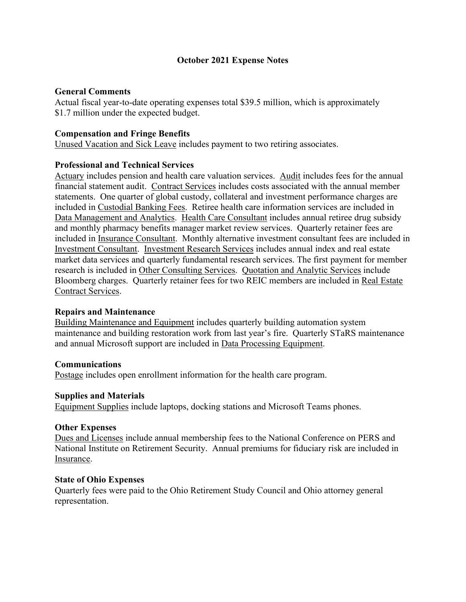## **October 2021 Expense Notes**

## **General Comments**

Actual fiscal year-to-date operating expenses total \$39.5 million, which is approximately \$1.7 million under the expected budget.

## **Compensation and Fringe Benefits**

Unused Vacation and Sick Leave includes payment to two retiring associates.

## **Professional and Technical Services**

Actuary includes pension and health care valuation services. Audit includes fees for the annual financial statement audit. Contract Services includes costs associated with the annual member statements. One quarter of global custody, collateral and investment performance charges are included in Custodial Banking Fees. Retiree health care information services are included in Data Management and Analytics. Health Care Consultant includes annual retiree drug subsidy and monthly pharmacy benefits manager market review services. Quarterly retainer fees are included in Insurance Consultant. Monthly alternative investment consultant fees are included in Investment Consultant. Investment Research Services includes annual index and real estate market data services and quarterly fundamental research services. The first payment for member research is included in Other Consulting Services. Quotation and Analytic Services include Bloomberg charges. Quarterly retainer fees for two REIC members are included in Real Estate Contract Services.

#### **Repairs and Maintenance**

Building Maintenance and Equipment includes quarterly building automation system maintenance and building restoration work from last year's fire. Quarterly STaRS maintenance and annual Microsoft support are included in Data Processing Equipment.

#### **Communications**

Postage includes open enrollment information for the health care program.

#### **Supplies and Materials**

Equipment Supplies include laptops, docking stations and Microsoft Teams phones.

#### **Other Expenses**

Dues and Licenses include annual membership fees to the National Conference on PERS and National Institute on Retirement Security. Annual premiums for fiduciary risk are included in Insurance.

#### **State of Ohio Expenses**

Quarterly fees were paid to the Ohio Retirement Study Council and Ohio attorney general representation.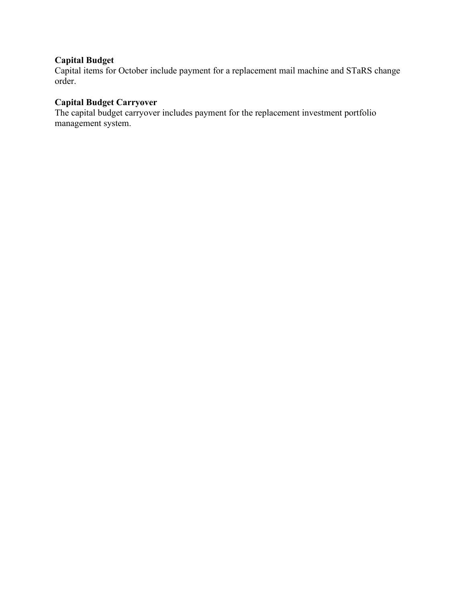## **Capital Budget**

Capital items for October include payment for a replacement mail machine and STaRS change order.

# **Capital Budget Carryover**

The capital budget carryover includes payment for the replacement investment portfolio management system.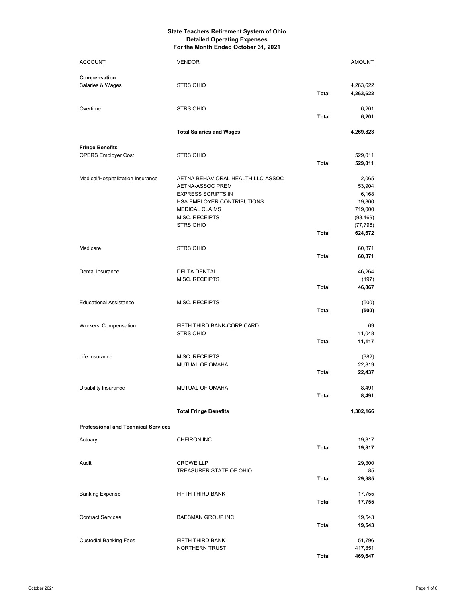#### **State Teachers Retirement System of Ohio Detailed Operating Expenses For the Month Ended October 31, 2021**

| <b>ACCOUNT</b>                                       | <u>VENDOR</u>                                                                                                                                                                   |              | <u>AMOUNT</u>                                                                      |
|------------------------------------------------------|---------------------------------------------------------------------------------------------------------------------------------------------------------------------------------|--------------|------------------------------------------------------------------------------------|
| Compensation<br>Salaries & Wages                     | <b>STRS OHIO</b>                                                                                                                                                                | <b>Total</b> | 4,263,622<br>4,263,622                                                             |
| Overtime                                             | <b>STRS OHIO</b>                                                                                                                                                                | <b>Total</b> | 6,201<br>6,201                                                                     |
|                                                      | <b>Total Salaries and Wages</b>                                                                                                                                                 |              | 4,269,823                                                                          |
| <b>Fringe Benefits</b><br><b>OPERS Employer Cost</b> | <b>STRS OHIO</b>                                                                                                                                                                | Total        | 529,011<br>529,011                                                                 |
| Medical/Hospitalization Insurance                    | AETNA BEHAVIORAL HEALTH LLC-ASSOC<br>AETNA-ASSOC PREM<br><b>EXPRESS SCRIPTS IN</b><br>HSA EMPLOYER CONTRIBUTIONS<br><b>MEDICAL CLAIMS</b><br>MISC. RECEIPTS<br><b>STRS OHIO</b> | <b>Total</b> | 2,065<br>53,904<br>6,168<br>19,800<br>719,000<br>(98, 469)<br>(77, 796)<br>624,672 |
| Medicare                                             | <b>STRS OHIO</b>                                                                                                                                                                | Total        | 60,871<br>60,871                                                                   |
| Dental Insurance                                     | <b>DELTA DENTAL</b><br>MISC. RECEIPTS                                                                                                                                           | <b>Total</b> | 46,264<br>(197)<br>46,067                                                          |
| <b>Educational Assistance</b>                        | MISC. RECEIPTS                                                                                                                                                                  | Total        | (500)<br>(500)                                                                     |
| <b>Workers' Compensation</b>                         | FIFTH THIRD BANK-CORP CARD<br><b>STRS OHIO</b>                                                                                                                                  | <b>Total</b> | 69<br>11,048<br>11,117                                                             |
| Life Insurance                                       | MISC. RECEIPTS<br>MUTUAL OF OMAHA                                                                                                                                               | Total        | (382)<br>22,819<br>22,437                                                          |
| <b>Disability Insurance</b>                          | MUTUAL OF OMAHA                                                                                                                                                                 | <b>Total</b> | 8,491<br>8,491                                                                     |
|                                                      | <b>Total Fringe Benefits</b>                                                                                                                                                    |              | 1,302,166                                                                          |
| <b>Professional and Technical Services</b>           |                                                                                                                                                                                 |              |                                                                                    |
| Actuary                                              | <b>CHEIRON INC</b>                                                                                                                                                              | <b>Total</b> | 19,817<br>19,817                                                                   |
| Audit                                                | <b>CROWE LLP</b><br>TREASURER STATE OF OHIO                                                                                                                                     | <b>Total</b> | 29,300<br>85<br>29,385                                                             |
| <b>Banking Expense</b>                               | FIFTH THIRD BANK                                                                                                                                                                | Total        | 17,755<br>17,755                                                                   |
| <b>Contract Services</b>                             | <b>BAESMAN GROUP INC</b>                                                                                                                                                        | Total        | 19,543<br>19,543                                                                   |
| <b>Custodial Banking Fees</b>                        | FIFTH THIRD BANK<br><b>NORTHERN TRUST</b>                                                                                                                                       | <b>Total</b> | 51,796<br>417,851<br>469,647                                                       |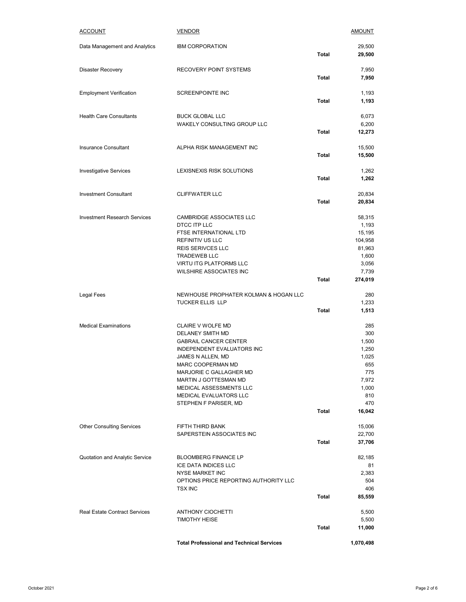| <b>ACCOUNT</b>                       | <b>VENDOR</b>                                                                                                                                                                                                                                                                   |              | <b>AMOUNT</b>                                                                                 |
|--------------------------------------|---------------------------------------------------------------------------------------------------------------------------------------------------------------------------------------------------------------------------------------------------------------------------------|--------------|-----------------------------------------------------------------------------------------------|
| Data Management and Analytics        | <b>IBM CORPORATION</b>                                                                                                                                                                                                                                                          | Total        | 29,500<br>29,500                                                                              |
| <b>Disaster Recovery</b>             | <b>RECOVERY POINT SYSTEMS</b>                                                                                                                                                                                                                                                   | Total        | 7,950<br>7,950                                                                                |
| <b>Employment Verification</b>       | SCREENPOINTE INC                                                                                                                                                                                                                                                                | Total        | 1,193<br>1,193                                                                                |
| <b>Health Care Consultants</b>       | <b>BUCK GLOBAL LLC</b><br>WAKELY CONSULTING GROUP LLC                                                                                                                                                                                                                           | Total        | 6,073<br>6,200<br>12,273                                                                      |
| <b>Insurance Consultant</b>          | ALPHA RISK MANAGEMENT INC                                                                                                                                                                                                                                                       | <b>Total</b> | 15,500<br>15,500                                                                              |
| <b>Investigative Services</b>        | LEXISNEXIS RISK SOLUTIONS                                                                                                                                                                                                                                                       | <b>Total</b> | 1,262<br>1,262                                                                                |
| <b>Investment Consultant</b>         | <b>CLIFFWATER LLC</b>                                                                                                                                                                                                                                                           | <b>Total</b> | 20,834<br>20,834                                                                              |
| <b>Investment Research Services</b>  | <b>CAMBRIDGE ASSOCIATES LLC</b><br>DTCC ITP LLC<br>FTSE INTERNATIONAL LTD<br>REFINITIV US LLC<br><b>REIS SERIVCES LLC</b><br><b>TRADEWEB LLC</b><br>VIRTU ITG PLATFORMS LLC<br>WILSHIRE ASSOCIATES INC                                                                          | <b>Total</b> | 58,315<br>1,193<br>15,195<br>104,958<br>81,963<br>1,600<br>3,056<br>7,739<br>274,019          |
| Legal Fees                           | NEWHOUSE PROPHATER KOLMAN & HOGAN LLC<br><b>TUCKER ELLIS LLP</b>                                                                                                                                                                                                                | <b>Total</b> | 280<br>1,233<br>1,513                                                                         |
| <b>Medical Examinations</b>          | CLAIRE V WOLFE MD<br>DELANEY SMITH MD<br><b>GABRAIL CANCER CENTER</b><br>INDEPENDENT EVALUATORS INC<br>JAMES N ALLEN, MD<br>MARC COOPERMAN MD<br>MARJORIE C GALLAGHER MD<br>MARTIN J GOTTESMAN MD<br>MEDICAL ASSESSMENTS LLC<br>MEDICAL EVALUATORS LLC<br>STEPHEN F PARISER, MD | Total        | 285<br>300<br>1,500<br>1,250<br>1,025<br>655<br>775<br>7,972<br>1,000<br>810<br>470<br>16,042 |
| <b>Other Consulting Services</b>     | FIFTH THIRD BANK<br>SAPERSTEIN ASSOCIATES INC                                                                                                                                                                                                                                   | <b>Total</b> | 15,006<br>22,700<br>37,706                                                                    |
| Quotation and Analytic Service       | <b>BLOOMBERG FINANCE LP</b><br>ICE DATA INDICES LLC<br>NYSE MARKET INC<br>OPTIONS PRICE REPORTING AUTHORITY LLC<br><b>TSX INC</b>                                                                                                                                               | <b>Total</b> | 82,185<br>81<br>2,383<br>504<br>406<br>85,559                                                 |
| <b>Real Estate Contract Services</b> | <b>ANTHONY CIOCHETTI</b><br><b>TIMOTHY HEISE</b>                                                                                                                                                                                                                                | Total        | 5,500<br>5,500<br>11,000                                                                      |
|                                      | <b>Total Professional and Technical Services</b>                                                                                                                                                                                                                                |              | 1,070,498                                                                                     |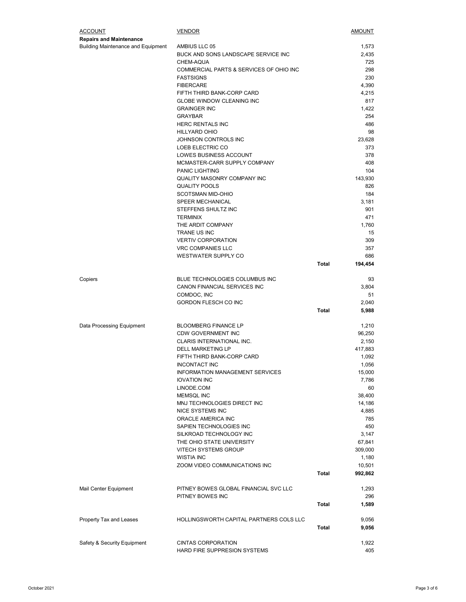| <b>ACCOUNT</b>                            | <b>VENDOR</b>                                                  |              | AMOUNT          |
|-------------------------------------------|----------------------------------------------------------------|--------------|-----------------|
| <b>Repairs and Maintenance</b>            |                                                                |              |                 |
| <b>Building Maintenance and Equipment</b> | AMBIUS LLC 05                                                  |              | 1,573           |
|                                           | BUCK AND SONS LANDSCAPE SERVICE INC                            |              | 2,435           |
|                                           | CHEM-AQUA                                                      |              | 725             |
|                                           | COMMERCIAL PARTS & SERVICES OF OHIO INC                        |              | 298             |
|                                           | <b>FASTSIGNS</b><br><b>FIBERCARE</b>                           |              | 230<br>4,390    |
|                                           | FIFTH THIRD BANK-CORP CARD                                     |              | 4,215           |
|                                           | <b>GLOBE WINDOW CLEANING INC</b>                               |              | 817             |
|                                           | <b>GRAINGER INC</b>                                            |              | 1,422           |
|                                           | <b>GRAYBAR</b>                                                 |              | 254             |
|                                           | <b>HERC RENTALS INC</b>                                        |              | 486             |
|                                           | <b>HILLYARD OHIO</b>                                           |              | 98              |
|                                           | JOHNSON CONTROLS INC                                           |              | 23,628          |
|                                           | LOEB ELECTRIC CO                                               |              | 373             |
|                                           | LOWES BUSINESS ACCOUNT                                         |              | 378             |
|                                           | MCMASTER-CARR SUPPLY COMPANY                                   |              | 408             |
|                                           | <b>PANIC LIGHTING</b>                                          |              | 104             |
|                                           | QUALITY MASONRY COMPANY INC                                    |              | 143,930         |
|                                           | <b>QUALITY POOLS</b><br><b>SCOTSMAN MID-OHIO</b>               |              | 826<br>184      |
|                                           | SPEER MECHANICAL                                               |              | 3,181           |
|                                           | STEFFENS SHULTZ INC                                            |              | 901             |
|                                           | <b>TERMINIX</b>                                                |              | 471             |
|                                           | THE ARDIT COMPANY                                              |              | 1,760           |
|                                           | TRANE US INC                                                   |              | 15              |
|                                           | <b>VERTIV CORPORATION</b>                                      |              | 309             |
|                                           | <b>VRC COMPANIES LLC</b>                                       |              | 357             |
|                                           | WESTWATER SUPPLY CO                                            |              | 686             |
|                                           |                                                                | <b>Total</b> | 194,454         |
|                                           |                                                                |              |                 |
| Copiers                                   | BLUE TECHNOLOGIES COLUMBUS INC<br>CANON FINANCIAL SERVICES INC |              | 93<br>3,804     |
|                                           | COMDOC, INC                                                    |              | 51              |
|                                           | GORDON FLESCH CO INC                                           |              | 2,040           |
|                                           |                                                                | <b>Total</b> | 5,988           |
|                                           |                                                                |              |                 |
| Data Processing Equipment                 | <b>BLOOMBERG FINANCE LP</b>                                    |              | 1,210           |
|                                           | <b>CDW GOVERNMENT INC</b>                                      |              | 96,250          |
|                                           | CLARIS INTERNATIONAL INC.                                      |              | 2,150           |
|                                           | <b>DELL MARKETING LP</b>                                       |              | 417,883         |
|                                           | FIFTH THIRD BANK-CORP CARD                                     |              | 1,092           |
|                                           | INCONTACT INC<br>INFORMATION MANAGEMENT SERVICES               |              | 1,056<br>15,000 |
|                                           | <b>IOVATION INC</b>                                            |              | 7,786           |
|                                           | LINODE.COM                                                     |              | 60              |
|                                           | MEMSQL INC                                                     |              | 38,400          |
|                                           | MNJ TECHNOLOGIES DIRECT INC                                    |              | 14,186          |
|                                           | <b>NICE SYSTEMS INC</b>                                        |              | 4,885           |
|                                           | ORACLE AMERICA INC                                             |              | 785             |
|                                           | SAPIEN TECHNOLOGIES INC                                        |              | 450             |
|                                           | SILKROAD TECHNOLOGY INC                                        |              | 3,147           |
|                                           | THE OHIO STATE UNIVERSITY                                      |              | 67,841          |
|                                           | <b>VITECH SYSTEMS GROUP</b>                                    |              | 309,000         |
|                                           | <b>WISTIA INC</b>                                              |              | 1,180           |
|                                           | ZOOM VIDEO COMMUNICATIONS INC                                  |              | 10,501          |
|                                           |                                                                | Total        | 992,862         |
| Mail Center Equipment                     | PITNEY BOWES GLOBAL FINANCIAL SVC LLC                          |              | 1,293           |
|                                           | PITNEY BOWES INC                                               |              | 296             |
|                                           |                                                                | Total        | 1,589           |
|                                           |                                                                |              |                 |
| Property Tax and Leases                   | HOLLINGSWORTH CAPITAL PARTNERS COLS LLC                        |              | 9,056           |
|                                           |                                                                | <b>Total</b> | 9,056           |
|                                           |                                                                |              |                 |
| Safety & Security Equipment               | <b>CINTAS CORPORATION</b>                                      |              | 1,922           |
|                                           | HARD FIRE SUPPRESION SYSTEMS                                   |              | 405             |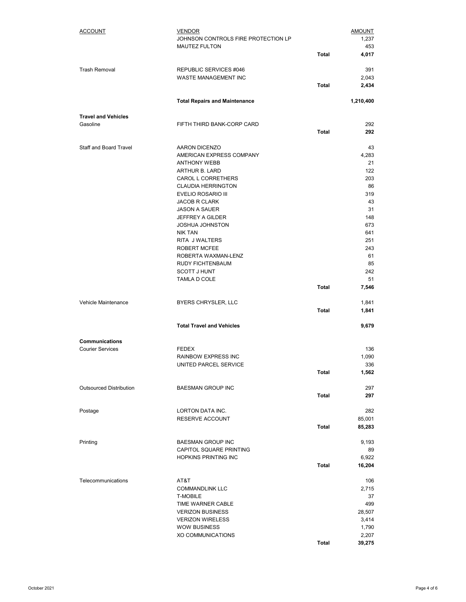| ACCOUNT                        | <b>VENDOR</b><br>JOHNSON CONTROLS FIRE PROTECTION LP |              | <b>AMOUNT</b><br>1,237 |
|--------------------------------|------------------------------------------------------|--------------|------------------------|
|                                | <b>MAUTEZ FULTON</b>                                 | <b>Total</b> | 453<br>4,017           |
| <b>Trash Removal</b>           | REPUBLIC SERVICES #046                               |              | 391                    |
|                                | <b>WASTE MANAGEMENT INC</b>                          |              | 2,043                  |
|                                |                                                      | Total        | 2,434                  |
|                                | <b>Total Repairs and Maintenance</b>                 |              | 1,210,400              |
| <b>Travel and Vehicles</b>     |                                                      |              |                        |
| Gasoline                       | FIFTH THIRD BANK-CORP CARD                           | Total        | 292<br>292             |
| Staff and Board Travel         | AARON DICENZO                                        |              | 43                     |
|                                | AMERICAN EXPRESS COMPANY                             |              | 4,283                  |
|                                | <b>ANTHONY WEBB</b>                                  |              | 21<br>122              |
|                                | ARTHUR B. LARD<br><b>CAROL L CORRETHERS</b>          |              | 203                    |
|                                | <b>CLAUDIA HERRINGTON</b>                            |              | 86                     |
|                                | EVELIO ROSARIO III                                   |              | 319                    |
|                                | <b>JACOB R CLARK</b>                                 |              | 43                     |
|                                | <b>JASON A SAUER</b>                                 |              | 31                     |
|                                | JEFFREY A GILDER                                     |              | 148                    |
|                                | <b>JOSHUA JOHNSTON</b><br><b>NIK TAN</b>             |              | 673<br>641             |
|                                | RITA J WALTERS                                       |              | 251                    |
|                                | ROBERT MCFEE                                         |              | 243                    |
|                                | ROBERTA WAXMAN-LENZ                                  |              | 61                     |
|                                | RUDY FICHTENBAUM                                     |              | 85                     |
|                                | <b>SCOTT J HUNT</b><br>TAMLA D COLE                  |              | 242<br>51              |
|                                |                                                      | <b>Total</b> | 7,546                  |
|                                |                                                      |              |                        |
| Vehicle Maintenance            | BYERS CHRYSLER, LLC                                  | <b>Total</b> | 1,841<br>1,841         |
|                                |                                                      |              |                        |
|                                | <b>Total Travel and Vehicles</b>                     |              | 9,679                  |
| Communications                 |                                                      |              |                        |
| <b>Courier Services</b>        | <b>FEDEX</b>                                         |              | 136                    |
|                                | RAINBOW EXPRESS INC<br>UNITED PARCEL SERVICE         |              | 1,090<br>336           |
|                                |                                                      | Total        | 1,562                  |
|                                |                                                      |              |                        |
| <b>Outsourced Distribution</b> | <b>BAESMAN GROUP INC</b>                             |              | 297                    |
|                                |                                                      | <b>Total</b> | 297                    |
| Postage                        | LORTON DATA INC.                                     |              | 282                    |
|                                | <b>RESERVE ACCOUNT</b>                               |              | 85,001                 |
|                                |                                                      | <b>Total</b> | 85,283                 |
| Printing                       | <b>BAESMAN GROUP INC</b>                             |              | 9,193                  |
|                                | CAPITOL SQUARE PRINTING                              |              | 89                     |
|                                | <b>HOPKINS PRINTING INC</b>                          |              | 6,922                  |
|                                |                                                      | Total        | 16,204                 |
| Telecommunications             | AT&T                                                 |              | 106                    |
|                                | <b>COMMANDLINK LLC</b>                               |              | 2,715                  |
|                                | <b>T-MOBILE</b>                                      |              | 37                     |
|                                | TIME WARNER CABLE                                    |              | 499                    |
|                                | <b>VERIZON BUSINESS</b><br><b>VERIZON WIRELESS</b>   |              | 28,507<br>3,414        |
|                                | <b>WOW BUSINESS</b>                                  |              | 1,790                  |
|                                | XO COMMUNICATIONS                                    |              | 2,207                  |
|                                |                                                      | Total        | 39,275                 |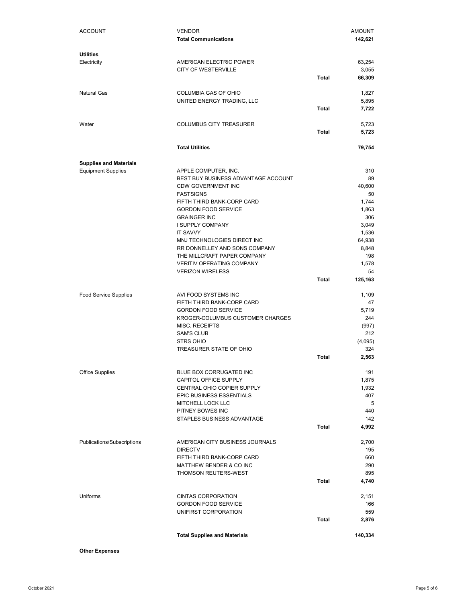| <b>ACCOUNT</b>                  | <b>VENDOR</b><br><b>Total Communications</b>                     |              | <b>AMOUNT</b><br>142,621 |
|---------------------------------|------------------------------------------------------------------|--------------|--------------------------|
| <b>Utilities</b><br>Electricity | AMERICAN ELECTRIC POWER                                          |              | 63,254                   |
|                                 | <b>CITY OF WESTERVILLE</b>                                       |              | 3,055                    |
|                                 |                                                                  | Total        | 66,309                   |
| <b>Natural Gas</b>              | COLUMBIA GAS OF OHIO                                             |              | 1,827                    |
|                                 | UNITED ENERGY TRADING, LLC                                       |              | 5,895                    |
|                                 |                                                                  | Total        | 7,722                    |
| Water                           | <b>COLUMBUS CITY TREASURER</b>                                   |              | 5,723                    |
|                                 |                                                                  | Total        | 5,723                    |
|                                 | <b>Total Utilities</b>                                           |              | 79,754                   |
| <b>Supplies and Materials</b>   |                                                                  |              |                          |
| <b>Equipment Supplies</b>       | APPLE COMPUTER, INC.                                             |              | 310                      |
|                                 | BEST BUY BUSINESS ADVANTAGE ACCOUNT<br><b>CDW GOVERNMENT INC</b> |              | 89<br>40.600             |
|                                 | <b>FASTSIGNS</b>                                                 |              | 50                       |
|                                 | FIFTH THIRD BANK-CORP CARD                                       |              | 1,744                    |
|                                 | <b>GORDON FOOD SERVICE</b>                                       |              | 1,863                    |
|                                 | <b>GRAINGER INC</b>                                              |              | 306                      |
|                                 | I SUPPLY COMPANY<br><b>IT SAVVY</b>                              |              | 3,049<br>1,536           |
|                                 | MNJ TECHNOLOGIES DIRECT INC                                      |              | 64,938                   |
|                                 | RR DONNELLEY AND SONS COMPANY                                    |              | 8,848                    |
|                                 | THE MILLCRAFT PAPER COMPANY                                      |              | 198                      |
|                                 | <b>VERITIV OPERATING COMPANY</b><br><b>VERIZON WIRELESS</b>      |              | 1,578<br>54              |
|                                 |                                                                  | Total        | 125,163                  |
| <b>Food Service Supplies</b>    | AVI FOOD SYSTEMS INC                                             |              | 1,109                    |
|                                 | FIFTH THIRD BANK-CORP CARD                                       |              | 47                       |
|                                 | <b>GORDON FOOD SERVICE</b>                                       |              | 5,719                    |
|                                 | KROGER-COLUMBUS CUSTOMER CHARGES                                 |              | 244                      |
|                                 | MISC. RECEIPTS<br><b>SAM'S CLUB</b>                              |              | (997)<br>212             |
|                                 | <b>STRS OHIO</b>                                                 |              | (4,095)                  |
|                                 | TREASURER STATE OF OHIO                                          |              | 324                      |
|                                 |                                                                  | <b>Total</b> | 2,563                    |
| <b>Office Supplies</b>          | BLUE BOX CORRUGATED INC                                          |              | 191                      |
|                                 | CAPITOL OFFICE SUPPLY                                            |              | 1,875                    |
|                                 | CENTRAL OHIO COPIER SUPPLY                                       |              | 1,932                    |
|                                 | EPIC BUSINESS ESSENTIALS<br>MITCHELL LOCK LLC                    |              | 407<br>5                 |
|                                 | PITNEY BOWES INC                                                 |              | 440                      |
|                                 | STAPLES BUSINESS ADVANTAGE                                       |              | 142                      |
|                                 |                                                                  | Total        | 4,992                    |
| Publications/Subscriptions      | AMERICAN CITY BUSINESS JOURNALS                                  |              | 2,700                    |
|                                 | <b>DIRECTV</b>                                                   |              | 195                      |
|                                 | FIFTH THIRD BANK-CORP CARD                                       |              | 660                      |
|                                 | MATTHEW BENDER & CO INC<br><b>THOMSON REUTERS-WEST</b>           |              | 290<br>895               |
|                                 |                                                                  | <b>Total</b> | 4,740                    |
| Uniforms                        | <b>CINTAS CORPORATION</b>                                        |              | 2,151                    |
|                                 | <b>GORDON FOOD SERVICE</b>                                       |              | 166                      |
|                                 | UNIFIRST CORPORATION                                             |              | 559                      |
|                                 |                                                                  | Total        | 2,876                    |
|                                 | <b>Total Supplies and Materials</b>                              |              | 140,334                  |

**Other Expenses**